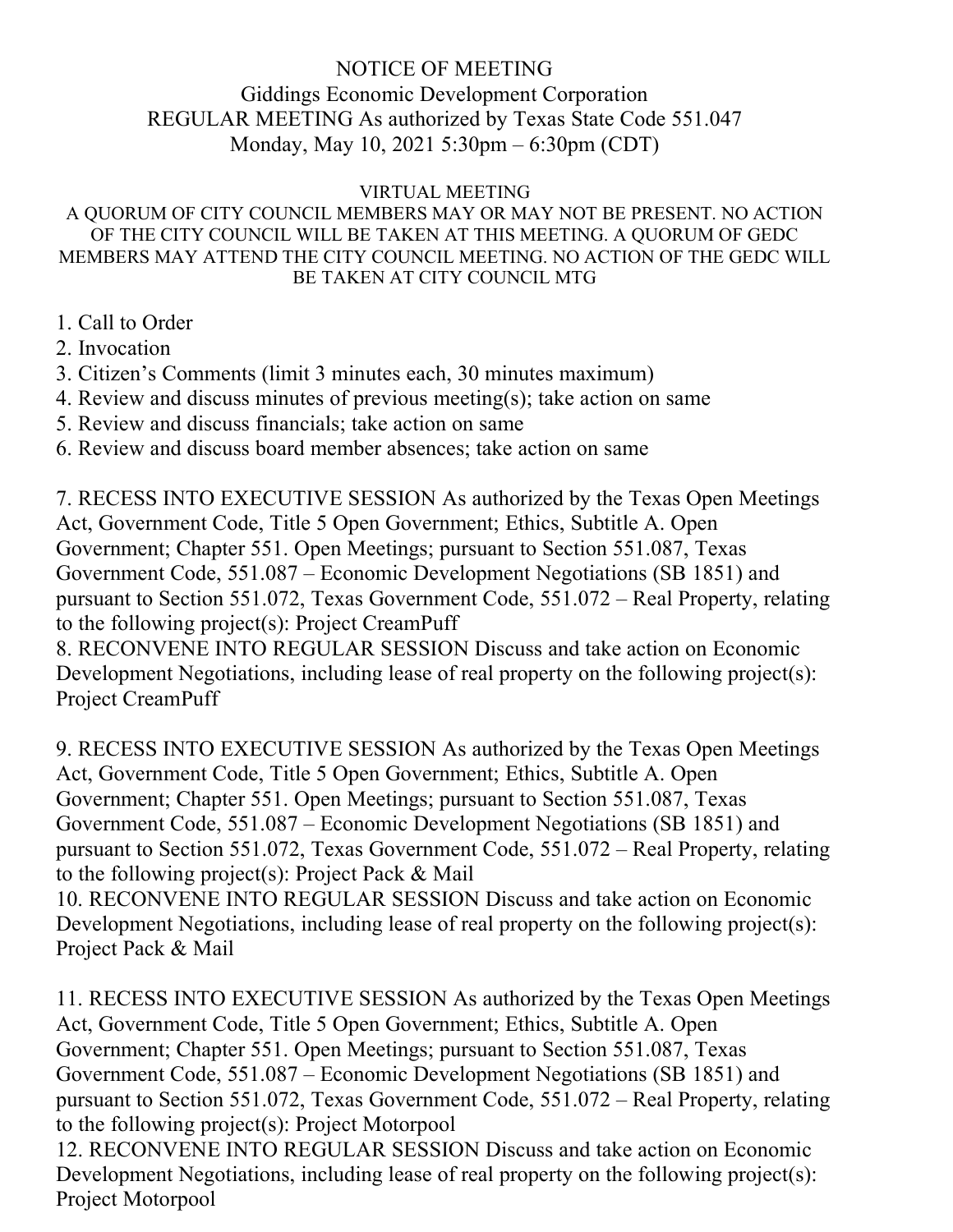# NOTICE OF MEETING

# Giddings Economic Development Corporation REGULAR MEETING As authorized by Texas State Code 551.047 Monday, May 10, 2021 5:30pm – 6:30pm (CDT)

### VIRTUAL MEETING

#### A QUORUM OF CITY COUNCIL MEMBERS MAY OR MAY NOT BE PRESENT. NO ACTION OF THE CITY COUNCIL WILL BE TAKEN AT THIS MEETING. A QUORUM OF GEDC MEMBERS MAY ATTEND THE CITY COUNCIL MEETING. NO ACTION OF THE GEDC WILL BE TAKEN AT CITY COUNCIL MTG

- 1. Call to Order
- 2. Invocation
- 3. Citizen's Comments (limit 3 minutes each, 30 minutes maximum)
- 4. Review and discuss minutes of previous meeting(s); take action on same
- 5. Review and discuss financials; take action on same
- 6. Review and discuss board member absences; take action on same

7. RECESS INTO EXECUTIVE SESSION As authorized by the Texas Open Meetings Act, Government Code, Title 5 Open Government; Ethics, Subtitle A. Open Government; Chapter 551. Open Meetings; pursuant to Section 551.087, Texas Government Code, 551.087 – Economic Development Negotiations (SB 1851) and pursuant to Section 551.072, Texas Government Code, 551.072 – Real Property, relating to the following project(s): Project CreamPuff

8. RECONVENE INTO REGULAR SESSION Discuss and take action on Economic Development Negotiations, including lease of real property on the following project(s): Project CreamPuff

9. RECESS INTO EXECUTIVE SESSION As authorized by the Texas Open Meetings Act, Government Code, Title 5 Open Government; Ethics, Subtitle A. Open Government; Chapter 551. Open Meetings; pursuant to Section 551.087, Texas Government Code, 551.087 – Economic Development Negotiations (SB 1851) and pursuant to Section 551.072, Texas Government Code, 551.072 – Real Property, relating to the following project(s): Project Pack & Mail

10. RECONVENE INTO REGULAR SESSION Discuss and take action on Economic Development Negotiations, including lease of real property on the following project(s): Project Pack & Mail

11. RECESS INTO EXECUTIVE SESSION As authorized by the Texas Open Meetings Act, Government Code, Title 5 Open Government; Ethics, Subtitle A. Open Government; Chapter 551. Open Meetings; pursuant to Section 551.087, Texas Government Code, 551.087 – Economic Development Negotiations (SB 1851) and pursuant to Section 551.072, Texas Government Code, 551.072 – Real Property, relating to the following project(s): Project Motorpool

12. RECONVENE INTO REGULAR SESSION Discuss and take action on Economic Development Negotiations, including lease of real property on the following project(s): Project Motorpool